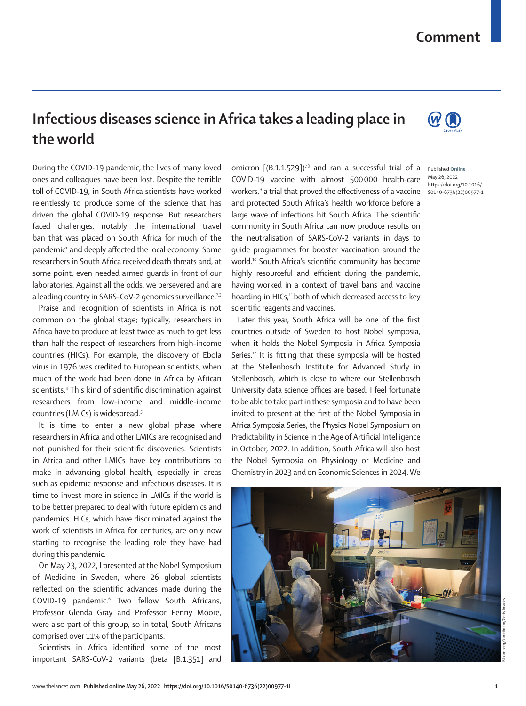## **Comment**

## **Infectious diseases science in Africa takes a leading place in the world**

During the COVID-19 pandemic, the lives of many loved ones and colleagues have been lost. Despite the terrible toll of COVID-19, in South Africa scientists have worked relentlessly to produce some of the science that has driven the global COVID-19 response. But researchers faced challenges, notably the international travel ban that was placed on South Africa for much of the pandemic<sup>1</sup> and deeply affected the local economy. Some researchers in South Africa received death threats and, at some point, even needed armed guards in front of our laboratories. Against all the odds, we persevered and are a leading country in SARS-CoV-2 genomics surveillance.<sup>2,3</sup>

Praise and recognition of scientists in Africa is not common on the global stage; typically, researchers in Africa have to produce at least twice as much to get less than half the respect of researchers from high-income countries (HICs). For example, the discovery of Ebola virus in 1976 was credited to European scientists, when much of the work had been done in Africa by African scientists.4 This kind of scientific discrimination against researchers from low-income and middle-income countries (LMICs) is widespread.5

It is time to enter a new global phase where researchers in Africa and other LMICs are recognised and not punished for their scientific discoveries. Scientists in Africa and other LMICs have key contributions to make in advancing global health, especially in areas such as epidemic response and infectious diseases. It is time to invest more in science in LMICs if the world is to be better prepared to deal with future epidemics and pandemics. HICs, which have discriminated against the work of scientists in Africa for centuries, are only now starting to recognise the leading role they have had during this pandemic.

On May 23, 2022, I presented at the Nobel Symposium of Medicine in Sweden, where 26 global scientists reflected on the scientific advances made during the COVID-19 pandemic.<sup>6</sup> Two fellow South Africans, Professor Glenda Gray and Professor Penny Moore, were also part of this group, so in total, South Africans comprised over 11% of the participants.

Scientists in Africa identified some of the most important SARS-CoV-2 variants (beta [B.1.351] and

omicron [(B.1.1.529])<sup>7,8</sup> and ran a successful trial of a Published Online COVID-19 vaccine with almost 500000 health-care workers,<sup>9</sup> a trial that proved the effectiveness of a vaccine s0140-6736(22)00977-1 and protected South Africa's health workforce before a large wave of infections hit South Africa. The scientific community in South Africa can now produce results on the neutralisation of SARS-CoV-2 variants in days to guide programmes for booster vaccination around the world.10 South Africa's scientific community has become highly resourceful and efficient during the pandemic, having worked in a context of travel bans and vaccine hoarding in HICs,<sup>11</sup> both of which decreased access to key scientific reagents and vaccines.

Later this year, South Africa will be one of the first countries outside of Sweden to host Nobel symposia, when it holds the Nobel Symposia in Africa Symposia Series.<sup>12</sup> It is fitting that these symposia will be hosted at the Stellenbosch Institute for Advanced Study in Stellenbosch, which is close to where our Stellenbosch University data science offices are based. I feel fortunate to be able to take part in these symposia and to have been invited to present at the first of the Nobel Symposia in Africa Symposia Series, the Physics Nobel Symposium on Predictability in Science in the Age of Artificial Intelligence in October, 2022. In addition, South Africa will also host the Nobel Symposia on Physiology or Medicine and Chemistry in 2023 and on Economic Sciences in 2024. We





May 26, 2022 https://doi.org/10.1016/

Bloomberg/Contributor/Getty Images